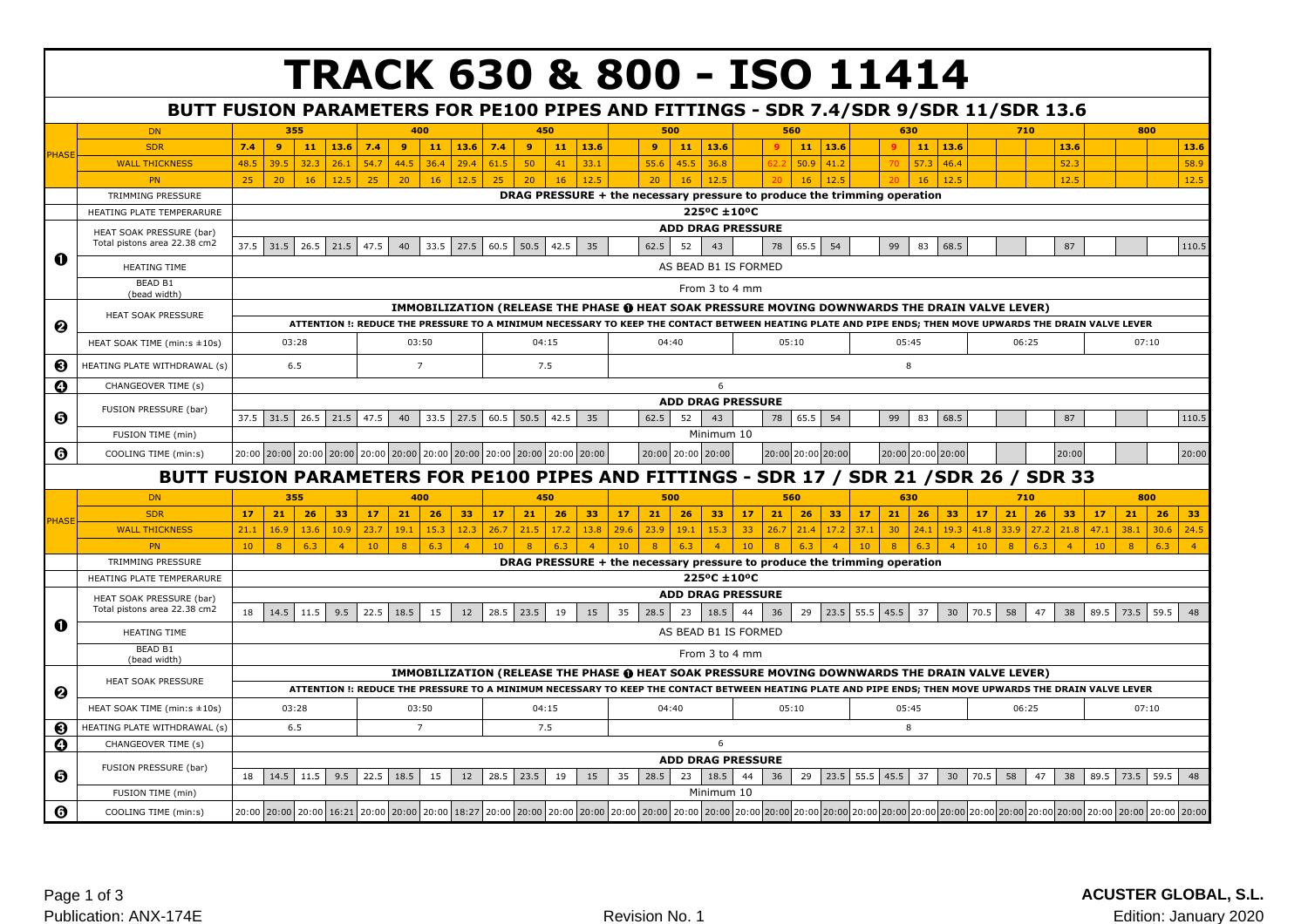|                       |                                                          |                                  |                                  | <b>TRACK 630 &amp; 800 - ISO 11414</b>                                                                                                                                                                                          |                                                                                         |                             |                             |                                                          |                                  |  |  |  |  |  |  |  |
|-----------------------|----------------------------------------------------------|----------------------------------|----------------------------------|---------------------------------------------------------------------------------------------------------------------------------------------------------------------------------------------------------------------------------|-----------------------------------------------------------------------------------------|-----------------------------|-----------------------------|----------------------------------------------------------|----------------------------------|--|--|--|--|--|--|--|
|                       |                                                          |                                  |                                  | BUTT FUSION PARAMETERS FOR PE100 PIPES AND FITTINGS - SDR 7.4/SDR 9/SDR 11/SDR 13.6                                                                                                                                             |                                                                                         |                             |                             |                                                          |                                  |  |  |  |  |  |  |  |
|                       | <b>DN</b>                                                | 355                              | 400                              | 450                                                                                                                                                                                                                             | 500                                                                                     | 560                         | 630                         | 710                                                      | 800                              |  |  |  |  |  |  |  |
| <b>PHASE</b>          | <b>SDR</b>                                               | 7.4<br>9<br>11<br>13.6           | 7.4<br>-9<br>$11 \mid 13.6 \mid$ | 13.6<br>7.4<br>$\overline{9}$<br>11                                                                                                                                                                                             | $\overline{9}$<br>11<br>13.6                                                            | 11<br>13.6                  | $11 \mid 13.6$<br>$\bullet$ | 13.6                                                     | 13.6                             |  |  |  |  |  |  |  |
|                       | <b>WALL THICKNESS</b>                                    | 48.5<br>39.5<br>32.3<br>26.1     | 54.7<br>29.4<br>44.5<br>36.4     | 33.1<br>61.5<br>50<br>41                                                                                                                                                                                                        | 55.6<br>45.5<br>36.8                                                                    | 50.9<br>41.2                | 57.3<br>46.4<br>70          | 52.3                                                     | 58.9                             |  |  |  |  |  |  |  |
|                       | PN                                                       | 25<br>20<br>16<br>12.5           | 25<br>20<br>16<br>12.5           | 12.5<br>25<br>20<br>16                                                                                                                                                                                                          | 12.5<br>20<br>16                                                                        | 12.5<br>16                  | 12.5<br>16                  | 12.5                                                     | 12.5                             |  |  |  |  |  |  |  |
|                       | TRIMMING PRESSURE                                        |                                  |                                  |                                                                                                                                                                                                                                 | DRAG PRESSURE + the necessary pressure to produce the trimming operation                |                             |                             |                                                          |                                  |  |  |  |  |  |  |  |
|                       | HEATING PLATE TEMPERARURE                                |                                  |                                  |                                                                                                                                                                                                                                 | 225°C ±10°C                                                                             |                             |                             |                                                          |                                  |  |  |  |  |  |  |  |
|                       | HEAT SOAK PRESSURE (bar)<br>Total pistons area 22.38 cm2 |                                  |                                  |                                                                                                                                                                                                                                 | <b>ADD DRAG PRESSURE</b>                                                                |                             |                             |                                                          |                                  |  |  |  |  |  |  |  |
| O                     |                                                          | 37.5<br>31.5<br>26.5<br>21.5     | 47.5<br>33.5<br>27.5<br>40       | 60.5 50.5<br>42.5<br>35                                                                                                                                                                                                         | 62.5<br>52<br>43                                                                        | 78<br>65.5<br>54            | 99<br>83<br>68.5            | 87                                                       | 110.5                            |  |  |  |  |  |  |  |
|                       | <b>HEATING TIME</b>                                      |                                  |                                  |                                                                                                                                                                                                                                 | AS BEAD B1 IS FORMED                                                                    |                             |                             |                                                          |                                  |  |  |  |  |  |  |  |
|                       | <b>BEAD B1</b><br>(bead width)                           |                                  |                                  |                                                                                                                                                                                                                                 | From 3 to 4 mm                                                                          |                             |                             |                                                          |                                  |  |  |  |  |  |  |  |
|                       | HEAT SOAK PRESSURE                                       |                                  |                                  | IMMOBILIZATION (RELEASE THE PHASE @ HEAT SOAK PRESSURE MOVING DOWNWARDS THE DRAIN VALVE LEVER)                                                                                                                                  |                                                                                         |                             |                             |                                                          |                                  |  |  |  |  |  |  |  |
| ❷                     |                                                          |                                  |                                  | ATTENTION !: REDUCE THE PRESSURE TO A MINIMUM NECESSARY TO KEEP THE CONTACT BETWEEN HEATING PLATE AND PIPE ENDS; THEN MOVE UPWARDS THE DRAIN VALVE LEVER                                                                        |                                                                                         |                             |                             |                                                          |                                  |  |  |  |  |  |  |  |
|                       | HEAT SOAK TIME (min:s ±10s)                              | 03:28                            | 03:50                            | 04:15                                                                                                                                                                                                                           | 04:40                                                                                   | 05:10                       | 05:45                       | 06:25                                                    | 07:10                            |  |  |  |  |  |  |  |
| ❸                     | HEATING PLATE WITHDRAWAL (s)                             | 6.5                              | $\overline{7}$                   | 7.5                                                                                                                                                                                                                             |                                                                                         |                             | $\bf 8$                     |                                                          |                                  |  |  |  |  |  |  |  |
| Ø                     | CHANGEOVER TIME (s)                                      | 6                                |                                  |                                                                                                                                                                                                                                 |                                                                                         |                             |                             |                                                          |                                  |  |  |  |  |  |  |  |
|                       | FUSION PRESSURE (bar)                                    | <b>ADD DRAG PRESSURE</b>         |                                  |                                                                                                                                                                                                                                 |                                                                                         |                             |                             |                                                          |                                  |  |  |  |  |  |  |  |
| Θ                     |                                                          | 37.5<br>31.5<br>26.5<br>21.5     | 47.5<br>33.5<br>27.5<br>40       | 60.5<br>50.5<br>42.5<br>35                                                                                                                                                                                                      | 62.5<br>52<br>43                                                                        | 78<br>65.5<br>54            | 99<br>83<br>68.5            | 87                                                       | 110.5                            |  |  |  |  |  |  |  |
|                       | FUSION TIME (min)                                        |                                  |                                  |                                                                                                                                                                                                                                 | Minimum 10                                                                              |                             |                             |                                                          |                                  |  |  |  |  |  |  |  |
| ❻                     | COOLING TIME (min:s)                                     |                                  |                                  | 20:00 20:00 20:00 20:00 20:00 20:00 20:00 20:00 20:00 20:00 20:00 20:00                                                                                                                                                         | 20:00 20:00 20:00                                                                       | 20:00 20:00 20:00           | 20:00 20:00 20:00           | 20:00                                                    | 20:00                            |  |  |  |  |  |  |  |
|                       |                                                          |                                  |                                  | BUTT FUSION PARAMETERS FOR PE100 PIPES AND FITTINGS - SDR 17 / SDR 21 /SDR 26 / SDR 33                                                                                                                                          |                                                                                         |                             |                             |                                                          |                                  |  |  |  |  |  |  |  |
|                       | <b>DN</b>                                                | 355                              | 400                              | 450                                                                                                                                                                                                                             | 500                                                                                     | 560                         | 630                         | 710                                                      | 800                              |  |  |  |  |  |  |  |
| PHASE                 | <b>SDR</b>                                               | 17<br>21<br>26<br>33             | 21<br>33<br>17<br>26             | 33<br>17<br>21<br>26                                                                                                                                                                                                            | 21<br>17<br>26<br>33                                                                    | 21<br>33<br>17<br>26        | 21<br>33<br>17<br>26        | 21<br>26<br>33<br>17                                     | 21<br>33<br>17<br>26             |  |  |  |  |  |  |  |
|                       | <b>WALL THICKNESS</b>                                    | 21.1<br>16.9<br>13.6<br>10.9     | 15.3<br>12.3<br>23.7<br>19.1     | 21.5<br>17.2<br>13.8<br>26.7                                                                                                                                                                                                    | 29.6<br>23.9<br>15.3<br>19.1                                                            | 17.2<br>33<br>26.7<br>21.4  | 37.1<br>24.1<br>19.3<br>30  | 41.8<br>27.2<br>21.8<br>33.9                             | 47.1<br>38.1<br>24.5<br>30.6     |  |  |  |  |  |  |  |
|                       | <b>PN</b>                                                | 6.3<br>10<br>8<br>$\overline{4}$ | 10<br>6.3<br>$\overline{4}$<br>8 | 10<br>$\overline{8}$<br>6.3<br>$\overline{4}$                                                                                                                                                                                   | 10<br>$\overline{8}$<br>6.3<br>$\overline{4}$                                           | 10 <sup>°</sup><br>6.3<br>8 | 6.3<br>10<br>$\overline{4}$ | 10 <sup>°</sup><br>6.3<br>$\overline{4}$<br>$\mathbf{R}$ | 10<br>8<br>6.3<br>$\overline{4}$ |  |  |  |  |  |  |  |
|                       | TRIMMING PRESSURE<br>HEATING PLATE TEMPERARURE           |                                  |                                  |                                                                                                                                                                                                                                 | DRAG PRESSURE + the necessary pressure to produce the trimming operation<br>225°C ±10°C |                             |                             |                                                          |                                  |  |  |  |  |  |  |  |
|                       |                                                          |                                  |                                  |                                                                                                                                                                                                                                 | <b>ADD DRAG PRESSURE</b>                                                                |                             |                             |                                                          |                                  |  |  |  |  |  |  |  |
|                       | HEAT SOAK PRESSURE (bar)<br>Total pistons area 22.38 cm2 | 18<br>14.5<br>11.5<br>9.5        | 22.5<br>18.5<br>15<br>12         | 28.5 23.5<br>19<br>15                                                                                                                                                                                                           | 35<br>28.5<br>23<br>18.5                                                                | 29<br>23.5 55.5<br>44<br>36 | 45.5<br>37<br>30            | 70.5<br>58<br>47<br>38                                   | 89.5 73.5<br>59.5<br>48          |  |  |  |  |  |  |  |
| 0                     | <b>HEATING TIME</b>                                      |                                  |                                  |                                                                                                                                                                                                                                 | AS BEAD B1 IS FORMED                                                                    |                             |                             |                                                          |                                  |  |  |  |  |  |  |  |
|                       | BEAD B1<br>(bead width)                                  |                                  |                                  |                                                                                                                                                                                                                                 | From 3 to 4 mm                                                                          |                             |                             |                                                          |                                  |  |  |  |  |  |  |  |
|                       | HEAT SOAK PRESSURE                                       |                                  |                                  | IMMOBILIZATION (RELEASE THE PHASE @ HEAT SOAK PRESSURE MOVING DOWNWARDS THE DRAIN VALVE LEVER)                                                                                                                                  |                                                                                         |                             |                             |                                                          |                                  |  |  |  |  |  |  |  |
| ❷                     |                                                          |                                  |                                  | ATTENTION !: REDUCE THE PRESSURE TO A MINIMUM NECESSARY TO KEEP THE CONTACT BETWEEN HEATING PLATE AND PIPE ENDS; THEN MOVE UPWARDS THE DRAIN VALVE LEVER                                                                        |                                                                                         |                             |                             |                                                          |                                  |  |  |  |  |  |  |  |
|                       | HEAT SOAK TIME (min:s ±10s)                              | 03:28                            | 03:50                            | 04:15                                                                                                                                                                                                                           | 04:40                                                                                   | 05:10                       | 05:45                       | 06:25                                                    | 07:10                            |  |  |  |  |  |  |  |
| ❸                     | HEATING PLATE WITHDRAWAL (s)                             | 6.5                              | $\overline{7}$                   | 7.5                                                                                                                                                                                                                             |                                                                                         |                             | 8                           |                                                          |                                  |  |  |  |  |  |  |  |
| $\boldsymbol{\Theta}$ | CHANGEOVER TIME (s)                                      |                                  |                                  |                                                                                                                                                                                                                                 | 6<br><b>ADD DRAG PRESSURE</b>                                                           |                             |                             |                                                          |                                  |  |  |  |  |  |  |  |
| ❺                     | FUSION PRESSURE (bar)                                    | 14.5<br>18<br>11.5<br>9.5        | 22.5<br>18.5<br>15<br>12         | 28.5<br>23.5<br>19<br>15                                                                                                                                                                                                        | 28.5<br>23<br>18.5<br>35                                                                | 23.5 55.5<br>44<br>36<br>29 | 45.5<br>37<br>30            | 70.5<br>58<br>47<br>38                                   | 89.5 73.5<br>59.5<br>48          |  |  |  |  |  |  |  |
|                       | FUSION TIME (min)                                        |                                  |                                  |                                                                                                                                                                                                                                 | Minimum 10                                                                              |                             |                             |                                                          |                                  |  |  |  |  |  |  |  |
| ❻                     | COOLING TIME (min:s)                                     |                                  |                                  | 20:00 20:00 20:00 20:00 20:00 20:00 20:00 20:00 20:00 20:00 20:00 20:00 20:00 20:00 20:00 20:00 20:00 20:00 20:00 20:00 20:00 20:00 20:00 20:00 20:00 20:00 20:00 20:00 20:00 20:00 20:00 20:00 20:00 20:00 20:00 20:00 20:00 2 |                                                                                         |                             |                             |                                                          |                                  |  |  |  |  |  |  |  |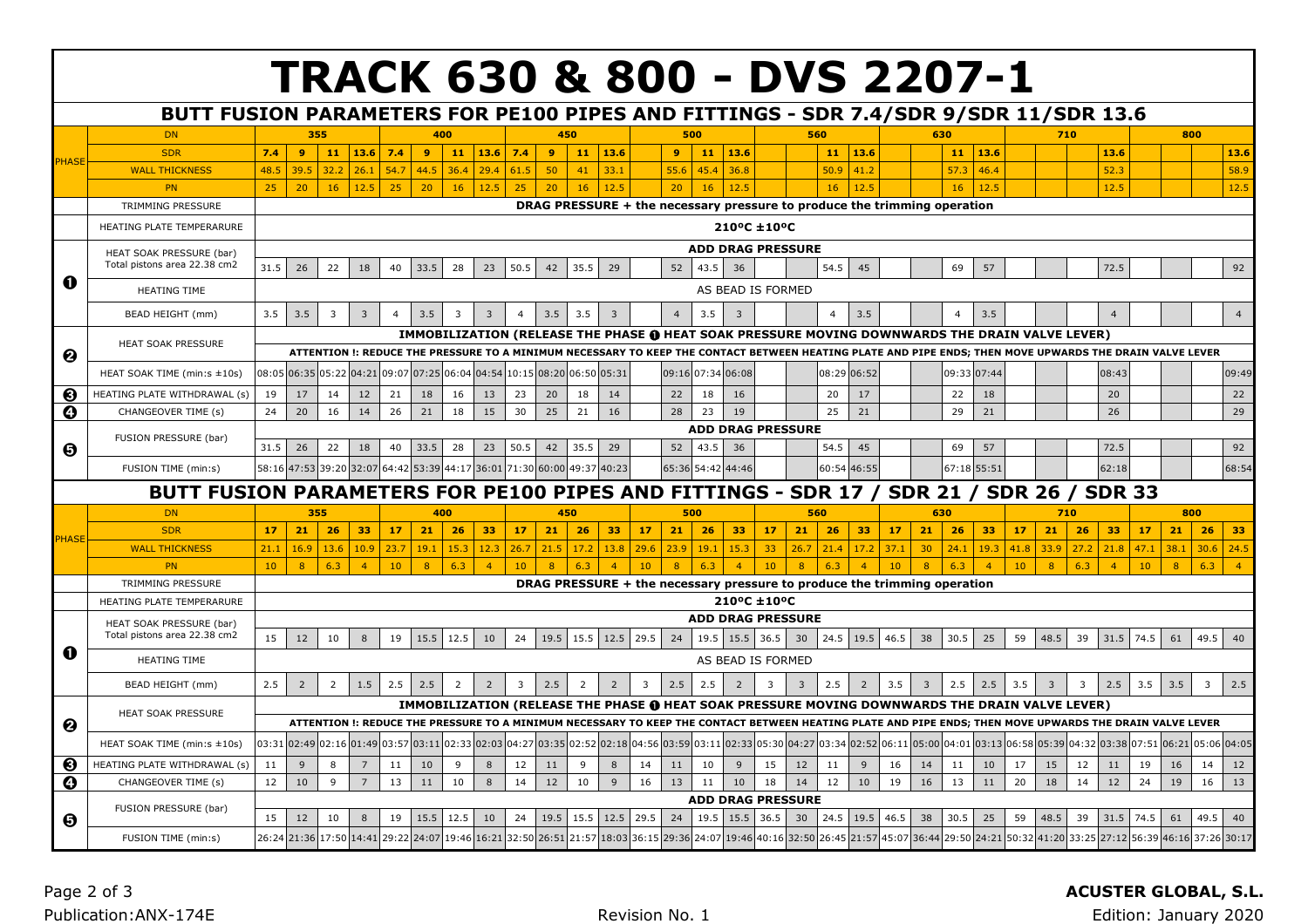|                       |                                                                                     |                                                                                                                                                          |                                                            |                |                               |                |                         |                |                |                |                       |          |                |      |                                                 |            |                |                   |                          | <b>TRACK 630 &amp; 800 - DVS 2207-1</b>                                                                                                                  |                |                |                                                                         |                |      |                |                   |                |      |                         |                |                |
|-----------------------|-------------------------------------------------------------------------------------|----------------------------------------------------------------------------------------------------------------------------------------------------------|------------------------------------------------------------|----------------|-------------------------------|----------------|-------------------------|----------------|----------------|----------------|-----------------------|----------|----------------|------|-------------------------------------------------|------------|----------------|-------------------|--------------------------|----------------------------------------------------------------------------------------------------------------------------------------------------------|----------------|----------------|-------------------------------------------------------------------------|----------------|------|----------------|-------------------|----------------|------|-------------------------|----------------|----------------|
|                       |                                                                                     |                                                                                                                                                          |                                                            |                |                               |                |                         |                |                |                |                       |          |                |      |                                                 |            |                |                   |                          |                                                                                                                                                          |                |                |                                                                         |                |      |                |                   |                |      |                         |                |                |
|                       | BUTT FUSION PARAMETERS FOR PE100 PIPES AND FITTINGS - SDR 7.4/SDR 9/SDR 11/SDR 13.6 |                                                                                                                                                          |                                                            |                |                               |                |                         |                |                |                |                       |          |                |      |                                                 |            |                |                   |                          |                                                                                                                                                          |                |                |                                                                         |                |      |                |                   |                |      |                         |                |                |
|                       | <b>DN</b><br><b>SDR</b>                                                             | 7.4                                                                                                                                                      | 9 <sup>°</sup>                                             | 355<br>11      | 13.6                          | 7.4            | 400<br>9                | 11             | 13.6           | 7.4            | 450<br>$\overline{9}$ | 11       | 13.6           |      | 500<br>$\overline{9}$                           | 11         | 13.6           |                   | 560                      | 11<br>13.6                                                                                                                                               |                |                | 630<br>11                                                               | 13.6           |      |                | 710               | 13.6           |      | 800                     |                | 13.6           |
| <b>HASE</b>           |                                                                                     | 48.5                                                                                                                                                     | 39.5                                                       |                | 26.1                          | 54.7           |                         |                |                |                |                       |          |                |      |                                                 |            |                |                   |                          |                                                                                                                                                          |                |                | 57.3                                                                    |                |      |                |                   |                |      |                         |                |                |
|                       | <b>WALL THICKNESS</b><br>PN                                                         | 25                                                                                                                                                       | 20                                                         | 32.2<br>16     | 12.5                          | 25             | 44.5<br>20              | 36.4<br>16     | 29.4<br>12.5   | 61.5<br>25     | 50<br>20              | 41<br>16 | 33.1<br>12.5   |      | 55.6<br>20                                      | 45.4<br>16 | 36.8<br>12.5   |                   |                          | 50.9<br>41.2<br>16                                                                                                                                       | 12.5           |                | 16                                                                      | 46.4<br>12.5   |      |                |                   | 52.3<br>12.5   |      |                         |                | 58.9<br>12.5   |
|                       | TRIMMING PRESSURE                                                                   |                                                                                                                                                          |                                                            |                |                               |                |                         |                |                |                |                       |          |                |      |                                                 |            |                |                   |                          | DRAG PRESSURE + the necessary pressure to produce the trimming operation                                                                                 |                |                |                                                                         |                |      |                |                   |                |      |                         |                |                |
|                       |                                                                                     |                                                                                                                                                          |                                                            |                |                               |                |                         |                |                |                |                       |          |                |      |                                                 |            |                |                   |                          |                                                                                                                                                          |                |                |                                                                         |                |      |                |                   |                |      |                         |                |                |
|                       | HEATING PLATE TEMPERARURE                                                           |                                                                                                                                                          |                                                            |                |                               |                |                         |                |                |                |                       |          |                |      |                                                 |            |                | 210°C ±10°C       |                          |                                                                                                                                                          |                |                |                                                                         |                |      |                |                   |                |      |                         |                |                |
|                       | HEAT SOAK PRESSURE (bar)                                                            |                                                                                                                                                          |                                                            |                |                               |                |                         |                |                |                |                       |          |                |      |                                                 |            |                |                   | <b>ADD DRAG PRESSURE</b> |                                                                                                                                                          |                |                |                                                                         |                |      |                |                   |                |      |                         |                |                |
|                       | Total pistons area 22.38 cm2                                                        | 31.5                                                                                                                                                     | 26                                                         | 22             | 18                            | 40             | 33.5                    | 28             | 23             | 50.5           | 42                    | 35.5     | 29             |      | 52                                              | 43.5       | 36             |                   |                          | 54.5<br>45                                                                                                                                               |                |                | 69                                                                      | 57             |      |                |                   | 72.5           |      |                         |                | 92             |
| 0                     | <b>HEATING TIME</b>                                                                 | AS BEAD IS FORMED                                                                                                                                        |                                                            |                |                               |                |                         |                |                |                |                       |          |                |      |                                                 |            |                |                   |                          |                                                                                                                                                          |                |                |                                                                         |                |      |                |                   |                |      |                         |                |                |
|                       | BEAD HEIGHT (mm)                                                                    | 3.5                                                                                                                                                      | 3.5                                                        | $\overline{3}$ | $\overline{3}$                | $\overline{a}$ | 3.5                     | $\overline{3}$ | $\overline{3}$ | $\overline{a}$ | 3.5                   | 3.5      | 3              |      | $\overline{4}$                                  | 3.5        | $\overline{3}$ |                   |                          | 3.5<br>$\overline{4}$                                                                                                                                    |                |                | $\overline{4}$                                                          | 3.5            |      |                |                   | $\overline{4}$ |      |                         |                | $\overline{4}$ |
|                       |                                                                                     | IMMOBILIZATION (RELEASE THE PHASE @ HEAT SOAK PRESSURE MOVING DOWNWARDS THE DRAIN VALVE LEVER)                                                           |                                                            |                |                               |                |                         |                |                |                |                       |          |                |      |                                                 |            |                |                   |                          |                                                                                                                                                          |                |                |                                                                         |                |      |                |                   |                |      |                         |                |                |
|                       | <b>HEAT SOAK PRESSURE</b>                                                           | ATTENTION !: REDUCE THE PRESSURE TO A MINIMUM NECESSARY TO KEEP THE CONTACT BETWEEN HEATING PLATE AND PIPE ENDS; THEN MOVE UPWARDS THE DRAIN VALVE LEVER |                                                            |                |                               |                |                         |                |                |                |                       |          |                |      |                                                 |            |                |                   |                          |                                                                                                                                                          |                |                |                                                                         |                |      |                |                   |                |      |                         |                |                |
| ❷                     |                                                                                     |                                                                                                                                                          |                                                            |                |                               |                |                         |                |                |                |                       |          |                |      |                                                 |            |                |                   |                          |                                                                                                                                                          |                |                |                                                                         |                |      |                |                   |                |      |                         |                |                |
|                       | HEAT SOAK TIME (min:s ±10s)                                                         | 08:05                                                                                                                                                    | 06:35                                                      | 05:22          | 04:21                         | 09:07          | 07:25                   | 06:04          | 04:54          | 10:15          | 08:20 06:50           |          | 05:31          |      | 09:16 07:34 06:08                               |            |                |                   |                          | 08:29<br>06:52                                                                                                                                           |                |                | 09:33                                                                   | 07:44          |      |                |                   | 08:43          |      |                         |                | 09:49          |
| ❸                     | HEATING PLATE WITHDRAWAL (s)                                                        | 19                                                                                                                                                       | 17                                                         | 14             | 12                            | 21             | 18                      | 16             | 13             | 23             | 20                    | 18       | 14             |      | 22                                              | 18         | 16             |                   |                          | 20<br>17                                                                                                                                                 |                |                | 22                                                                      | 18             |      |                |                   | 20             |      |                         |                | 22             |
| $\boldsymbol{\Theta}$ | CHANGEOVER TIME (s)                                                                 | 24                                                                                                                                                       | 20                                                         | 16             | 14                            | 26             | 21                      | 18             | 15             | 30             | 25                    | 21       | 16             |      | 28                                              | 23         | 19             |                   |                          | 25<br>21                                                                                                                                                 |                |                | 29                                                                      | 21             |      |                |                   | 26             |      |                         |                | 29             |
|                       | FUSION PRESSURE (bar)                                                               |                                                                                                                                                          | <b>ADD DRAG PRESSURE</b><br>54.5<br>57<br>92<br>43.5<br>45 |                |                               |                |                         |                |                |                |                       |          |                |      |                                                 |            |                |                   |                          |                                                                                                                                                          |                |                |                                                                         |                |      |                |                   |                |      |                         |                |                |
| Θ                     |                                                                                     | 31.5                                                                                                                                                     | 26                                                         | 22             | 18                            | 40             | 33.5                    | 28             | 23             | 50.5           | 42                    | 35.5     | 29             |      | 52                                              |            | 36             |                   |                          |                                                                                                                                                          |                |                | 69                                                                      |                |      |                |                   | 72.5           |      |                         |                |                |
|                       | FUSION TIME (min:s)                                                                 |                                                                                                                                                          |                                                            |                | 58:16 47:53 39:20 32:07       | 64:42          | 53:39                   | 44:17          | 36:01 71:30    |                | 60:00 49:37           |          | 40:23          |      | 65:36 54:42 44:46                               |            |                |                   |                          | 60:54 46:55                                                                                                                                              |                |                | 67:18                                                                   | 55:51          |      |                |                   | 62:18          |      |                         |                | 68:54          |
|                       | BUTT FUSION PARAMETERS FOR PE100 PIPES AND FITTINGS - SDR 17 / SDR 21               |                                                                                                                                                          |                                                            |                |                               |                |                         |                |                |                |                       |          |                |      |                                                 |            |                |                   |                          |                                                                                                                                                          |                |                |                                                                         |                |      |                | / SDR 26 / SDR 33 |                |      |                         |                |                |
|                       | <b>DN</b>                                                                           |                                                                                                                                                          |                                                            | 355            |                               |                | 400                     |                |                |                | 450                   |          |                |      | 500                                             |            |                |                   | 560                      |                                                                                                                                                          |                |                | 630                                                                     |                |      |                | 710               |                |      | 800                     |                |                |
| PHASE                 | <b>SDR</b>                                                                          | 17                                                                                                                                                       | 21                                                         | 26             | 33                            | 17             | 21                      | 26             | 33             | 17             | 21                    | 26       | 33             | 17   | 21                                              | 26         | 33             | 17                | 21                       | 26                                                                                                                                                       | 33<br>17       | 21             | 26                                                                      | 33             | 17   | 21             | 26                | 33             | 17   | 21                      | 26             | 33             |
|                       | <b>WALL THICKNESS</b>                                                               | 21.1                                                                                                                                                     | 16.9                                                       | 13.6           | 10.9                          | 23.7           | 19.1                    | 15.3           | 12.3           | 26.7           | 21.5                  | 17.2     | 13.8           | 29.6 | 23.9                                            | 19.1       | 15.3           | 33                | 26.7                     | 21.4                                                                                                                                                     | 17.2<br>37.1   | 30             | 24.1                                                                    | 19.3           | 41.8 | 33.9           | 27.2              | 21.8           | 47.1 | 38.1                    | 30.6           | 24.5           |
|                       | PN                                                                                  | 10                                                                                                                                                       | 8                                                          | 6.3            | $\overline{4}$                | 10             | 8                       | 6.3            | $\overline{4}$ | 10             | 8                     | 6.3      | $\overline{4}$ | 10   | 8                                               | 6.3        | $\overline{4}$ | 10                | 8                        | 6.3                                                                                                                                                      | 10             | 8              | 6.3                                                                     | $\overline{4}$ | 10   | 8              | 6.3               | $\overline{4}$ | 10   | 8                       | 6.3            | $\overline{4}$ |
|                       | TRIMMING PRESSURE                                                                   |                                                                                                                                                          |                                                            |                |                               |                |                         |                |                |                |                       |          |                |      |                                                 |            |                |                   |                          | DRAG PRESSURE + the necessary pressure to produce the trimming operation                                                                                 |                |                |                                                                         |                |      |                |                   |                |      |                         |                |                |
|                       | HEATING PLATE TEMPERARURE                                                           |                                                                                                                                                          |                                                            |                |                               |                |                         |                |                |                |                       |          |                |      |                                                 |            |                | 210°C ±10°C       |                          |                                                                                                                                                          |                |                |                                                                         |                |      |                |                   |                |      |                         |                |                |
|                       | HEAT SOAK PRESSURE (bar)                                                            |                                                                                                                                                          |                                                            |                |                               |                |                         |                |                |                |                       |          |                |      |                                                 |            |                |                   | <b>ADD DRAG PRESSURE</b> |                                                                                                                                                          |                |                |                                                                         |                |      |                |                   |                |      |                         |                |                |
|                       | Total pistons area 22.38 cm2                                                        | 15                                                                                                                                                       | 12                                                         | 10             | $\mathcal{R}$                 | 19             | 15.5                    | 12.5           | 10             | 24             | 19.5                  | 15.5     | 12.5           | 29.5 | 24                                              | 19.5       | 15.5 36.5      |                   | 30                       | 24.5                                                                                                                                                     | 19.5<br>46.5   | 38             | 30.5                                                                    | 25             | 59   | 48.5           | 39                | 31.5           | 74.5 | 61                      | 49.5           | 40             |
| O                     | <b>HEATING TIME</b>                                                                 |                                                                                                                                                          |                                                            |                |                               |                |                         |                |                |                |                       |          |                |      |                                                 |            |                | AS BEAD IS FORMED |                          |                                                                                                                                                          |                |                |                                                                         |                |      |                |                   |                |      |                         |                |                |
|                       | BEAD HEIGHT (mm)                                                                    | 2.5                                                                                                                                                      | $\overline{2}$                                             | $\overline{2}$ | 1.5                           | 2.5            | 2.5                     | $\overline{2}$ | $\overline{2}$ | 3              | 2.5                   | 2        | $\overline{2}$ | 3    | 2.5                                             | 2.5        | $\overline{2}$ | 3                 | 3                        | 2.5                                                                                                                                                      | 3.5            | $\overline{3}$ | 2.5                                                                     | 2.5            | 3.5  | $\overline{3}$ | 3                 | 2.5            | 3.5  | 3.5                     | $\overline{3}$ | 2.5            |
|                       |                                                                                     |                                                                                                                                                          |                                                            |                |                               |                |                         |                |                |                |                       |          |                |      |                                                 |            |                |                   |                          | IMMOBILIZATION (RELEASE THE PHASE @ HEAT SOAK PRESSURE MOVING DOWNWARDS THE DRAIN VALVE LEVER)                                                           |                |                |                                                                         |                |      |                |                   |                |      |                         |                |                |
|                       | <b>HEAT SOAK PRESSURE</b>                                                           |                                                                                                                                                          |                                                            |                |                               |                |                         |                |                |                |                       |          |                |      |                                                 |            |                |                   |                          | ATTENTION !: REDUCE THE PRESSURE TO A MINIMUM NECESSARY TO KEEP THE CONTACT BETWEEN HEATING PLATE AND PIPE ENDS: THEN MOVE UPWARDS THE DRAIN VALVE LEVER |                |                |                                                                         |                |      |                |                   |                |      |                         |                |                |
| ❷                     | HEAT SOAK TIME (min:s ±10s)                                                         |                                                                                                                                                          |                                                            |                | 03:31 02:49 02:16 01:49 03:57 |                | 03:11 02:33 02:03 04:27 |                |                |                | 03:35 02:52           |          |                |      | 02:18 04:56 03:59 03:11 02:33 05:30 04:27 03:34 |            |                |                   |                          |                                                                                                                                                          | 02:52<br>06:11 |                | 05:00 04:01 03:13 06:58 05:39 04:32 03:38                               |                |      |                |                   |                |      | 07:51 06:21 05:06 04:05 |                |                |
|                       |                                                                                     |                                                                                                                                                          |                                                            |                |                               |                |                         |                |                |                |                       |          |                |      |                                                 |            |                |                   |                          |                                                                                                                                                          |                |                |                                                                         |                |      |                |                   |                |      |                         |                |                |
| ❸                     | HEATING PLATE WITHDRAWAL (s)                                                        | 11                                                                                                                                                       | 9                                                          | 8              |                               | 11             | 10                      | 9              | 8              | 12             | 11                    | 9        | 8              | 14   | 11                                              | 10         | 9              | 15                | 12                       | 11<br>9                                                                                                                                                  | 16             | 14             | 11                                                                      | 10             | 17   | 15             | 12                | 11             | 19   | 16                      | 14             | 12             |
| $\boldsymbol{\Theta}$ | CHANGEOVER TIME (s)                                                                 | 12                                                                                                                                                       | 10                                                         | 9              | $\overline{7}$                | 13             | 11                      | 10             | $\,$ 8         | 14             | 12                    | 10       | $\overline{9}$ | 16   | 13                                              | 11         | 10             | 18                | 14                       | 12                                                                                                                                                       | 10<br>19       | 16             | 13                                                                      | 11             | 20   | 18             | 14                | 12             | 24   | 19                      | 16             | 13             |
|                       | FUSION PRESSURE (bar)                                                               |                                                                                                                                                          |                                                            |                |                               |                |                         | 12.5           | 10             | 24             | 19.5                  | 15.5     | 12.5           | 29.5 |                                                 |            |                |                   | <b>ADD DRAG PRESSURE</b> |                                                                                                                                                          |                | 38             | 30.5                                                                    | 25             | 59   | 48.5           | 39                |                | 74.5 | 61                      | 49.5           | 40             |
|                       |                                                                                     |                                                                                                                                                          |                                                            |                |                               |                |                         |                |                |                |                       |          |                |      |                                                 |            |                |                   |                          |                                                                                                                                                          |                |                |                                                                         |                |      |                |                   |                |      |                         |                |                |
| Θ                     | FUSION TIME (min:s)                                                                 | 15                                                                                                                                                       | 12                                                         | 10             | 8                             | 19             | 15.5                    |                |                |                |                       |          |                |      | 24                                              | 19.5       | 15.5           | 36.5              | 30                       | 24.5<br>19.5<br>26:24 21:36 17:50 14:41 29:22 24:07 19:46 16:21 32:50 26:51 21:57 18:03 36:15 29:36 24:07 19:46 40:16 32:50 26:45 21:57                  | 46.5           |                | 45:07 36:44 29:50 24:21 50:32 41:20 33:25 27:12 56:39 46:16 37:26 30:17 |                |      |                |                   | 31.5           |      |                         |                |                |